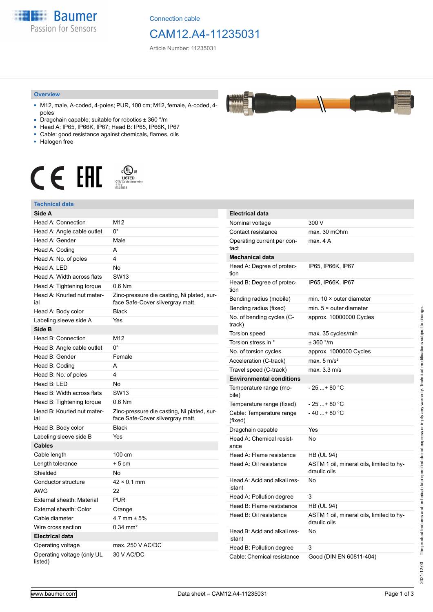**Baumer** Passion for Sensors

Connection cable

## CAM12.A4-11235031

Article Number: 11235031

#### **Overview**

- M12, male, A-coded, 4-poles; PUR, 100 cm; M12, female, A-coded, 4 poles
- Dragchain capable; suitable for robotics ± 360 °/m
- Head A: IP65, IP66K, IP67; Head B: IP65, IP66K, IP67
- Cable: good resistance against chemicals, flames, oils
- Halogen free



#### **Technical data**

| Technical data                        |                                                                               |                                     |                                                          |
|---------------------------------------|-------------------------------------------------------------------------------|-------------------------------------|----------------------------------------------------------|
| Side A                                |                                                                               | <b>Electrical data</b>              |                                                          |
| Head A: Connection                    | M12                                                                           | Nominal voltage                     | 300 V                                                    |
| Head A: Angle cable outlet            | $0^{\circ}$                                                                   | Contact resistance                  | max. 30 mOhm                                             |
| Head A: Gender                        | Male                                                                          | Operating current per con-<br>tact  | max. 4A                                                  |
| Head A: Coding                        | A                                                                             |                                     |                                                          |
| Head A: No. of poles                  | 4                                                                             | <b>Mechanical data</b>              |                                                          |
| Head A: LED                           | No                                                                            | Head A: Degree of protec-           | IP65, IP66K, IP67                                        |
| Head A: Width across flats            | <b>SW13</b>                                                                   | tion                                |                                                          |
| Head A: Tightening torque             | 0.6 Nm                                                                        | Head B: Degree of protec-<br>tion   | IP65, IP66K, IP67                                        |
| Head A: Knurled nut mater-<br>ial     | Zinc-pressure die casting, Ni plated, sur-<br>face Safe-Cover silvergray matt | Bending radius (mobile)             | min. $10 \times$ outer diameter                          |
| Head A: Body color                    | <b>Black</b>                                                                  | Bending radius (fixed)              | min. $5 \times$ outer diameter                           |
| Labeling sleeve side A                | Yes                                                                           | No. of bending cycles (C-           | approx. 10000000 Cycles                                  |
| Side B                                |                                                                               | track)                              |                                                          |
| Head B: Connection                    | M12                                                                           | <b>Torsion speed</b>                | max. 35 cycles/min                                       |
| Head B: Angle cable outlet            | $0^{\circ}$                                                                   | Torsion stress in °                 | $± 360$ °/m                                              |
| Head B: Gender                        | Female                                                                        | No. of torsion cycles               | approx. 1000000 Cycles                                   |
| Head B: Coding                        | A                                                                             | Acceleration (C-track)              | max. $5 \text{ m/s}^2$                                   |
| Head B: No. of poles                  | 4                                                                             | Travel speed (C-track)              | max. 3.3 m/s                                             |
| Head B: LED                           | <b>No</b>                                                                     | <b>Environmental conditions</b>     |                                                          |
| Head B: Width across flats            | <b>SW13</b>                                                                   | Temperature range (mo-<br>bile)     | $-25+80 °C$                                              |
| Head B: Tightening torque             | $0.6$ Nm                                                                      | Temperature range (fixed)           | $-25+80 °C$                                              |
| Head B: Knurled nut mater-<br>ial     | Zinc-pressure die casting, Ni plated, sur-<br>face Safe-Cover silvergray matt | Cable: Temperature range<br>(fixed) | $-40+80 °C$                                              |
| Head B: Body color                    | <b>Black</b>                                                                  | Dragchain capable                   | Yes                                                      |
| Labeling sleeve side B                | Yes                                                                           | Head A: Chemical resist-            | No                                                       |
| <b>Cables</b>                         |                                                                               | ance                                |                                                          |
| Cable length                          | 100 cm                                                                        | Head A: Flame resistance            | <b>HB (UL 94)</b>                                        |
| Length tolerance                      | + 5 cm                                                                        | Head A: Oil resistance              | ASTM 1 oil, mineral oils, limited to hy-<br>draulic oils |
| Shielded                              | No                                                                            |                                     |                                                          |
| Conductor structure                   | $42 \times 0.1$ mm                                                            | Head A: Acid and alkali res-        | No                                                       |
| <b>AWG</b>                            | 22                                                                            | istant                              |                                                          |
| External sheath: Material             | <b>PUR</b>                                                                    | Head A: Pollution degree            | 3                                                        |
| External sheath: Color                | Orange                                                                        | Head B: Flame restistance           | <b>HB (UL 94)</b>                                        |
| Cable diameter                        | 4.7 mm $\pm$ 5%                                                               | Head B: Oil resistance              | ASTM 1 oil, mineral oils, limited to hy-<br>draulic oils |
| Wire cross section                    | $0.34 \text{ mm}^2$                                                           | Head B: Acid and alkali res-        | No                                                       |
| <b>Electrical data</b>                |                                                                               | istant                              |                                                          |
| Operating voltage                     | max. 250 V AC/DC                                                              | Head B: Pollution degree            | 3                                                        |
| Operating voltage (only UL<br>listed) | 30 V AC/DC                                                                    | Cable: Chemical resistance          | Good (DIN EN 60811-404)                                  |

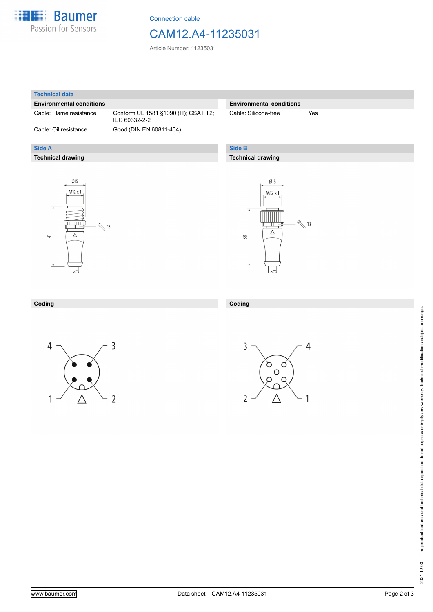

Connection cable

## CAM12.A4-11235031

Article Number: 11235031

#### **Technical data**

**Side A**

#### **Environmental conditions**

**Technical drawing**

Cable: Flame resistance Conform UL 1581 §1090 (H); CSA FT2; IEC 60332-2-2 Cable: Oil resistance Good (DIN EN 60811-404)

## **Environmental conditions**

Cable: Silicone-free Yes

## **Side B**

**Coding**

### **Technical drawing**





### **Coding**